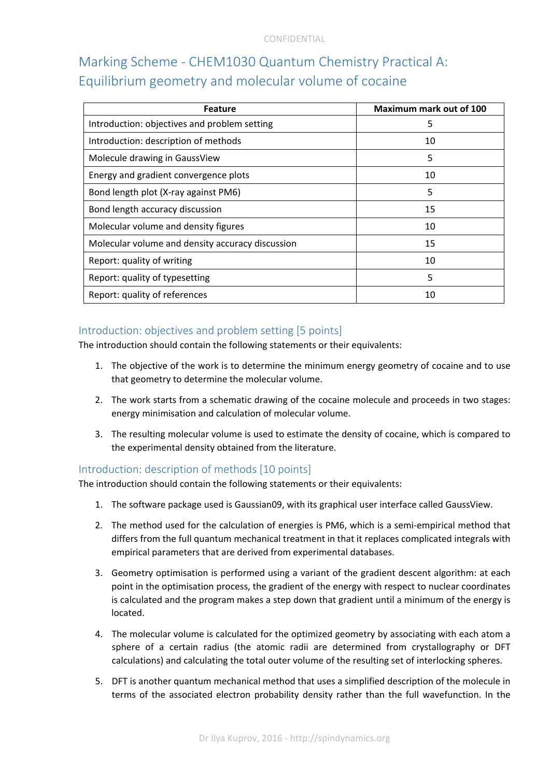# Marking Scheme ‐ CHEM1030 Quantum Chemistry Practical A: Equilibrium geometry and molecular volume of cocaine

| <b>Feature</b>                                   | Maximum mark out of 100 |
|--------------------------------------------------|-------------------------|
| Introduction: objectives and problem setting     | 5                       |
| Introduction: description of methods             | 10                      |
| Molecule drawing in GaussView                    | 5                       |
| Energy and gradient convergence plots            | 10                      |
| Bond length plot (X-ray against PM6)             | 5                       |
| Bond length accuracy discussion                  | 15                      |
| Molecular volume and density figures             | 10                      |
| Molecular volume and density accuracy discussion | 15                      |
| Report: quality of writing                       | 10                      |
| Report: quality of typesetting                   | 5                       |
| Report: quality of references                    | 10                      |

# Introduction: objectives and problem setting [5 points]

The introduction should contain the following statements or their equivalents:

- 1. The objective of the work is to determine the minimum energy geometry of cocaine and to use that geometry to determine the molecular volume.
- 2. The work starts from a schematic drawing of the cocaine molecule and proceeds in two stages: energy minimisation and calculation of molecular volume.
- 3. The resulting molecular volume is used to estimate the density of cocaine, which is compared to the experimental density obtained from the literature.

# Introduction: description of methods [10 points]

The introduction should contain the following statements or their equivalents:

- 1. The software package used is Gaussian09, with its graphical user interface called GaussView.
- 2. The method used for the calculation of energies is PM6, which is a semi-empirical method that differs from the full quantum mechanical treatment in that it replaces complicated integrals with empirical parameters that are derived from experimental databases.
- 3. Geometry optimisation is performed using a variant of the gradient descent algorithm: at each point in the optimisation process, the gradient of the energy with respect to nuclear coordinates is calculated and the program makes a step down that gradient until a minimum of the energy is located.
- 4. The molecular volume is calculated for the optimized geometry by associating with each atom a sphere of a certain radius (the atomic radii are determined from crystallography or DFT calculations) and calculating the total outer volume of the resulting set of interlocking spheres.
- 5. DFT is another quantum mechanical method that uses a simplified description of the molecule in terms of the associated electron probability density rather than the full wavefunction. In the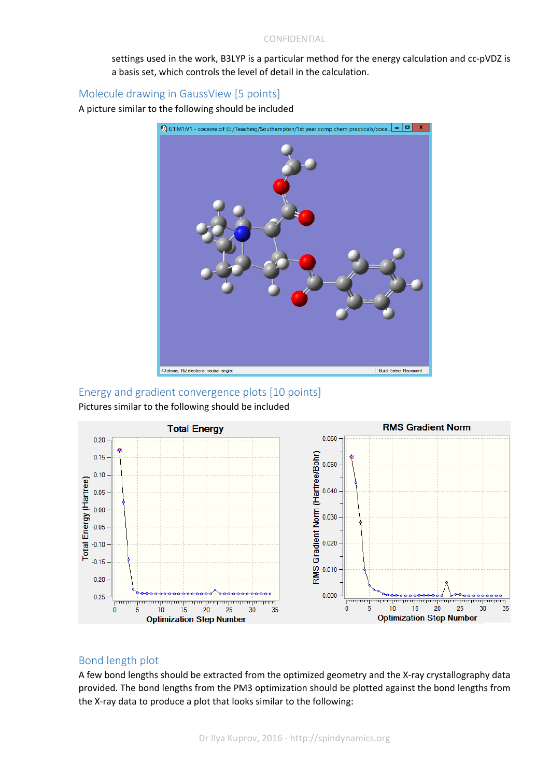settings used in the work, B3LYP is a particular method for the energy calculation and cc-pVDZ is a basis set, which controls the level of detail in the calculation.

#### Molecule drawing in GaussView [5 points]

A picture similar to the following should be included



## Energy and gradient convergence plots [10 points]

Pictures similar to the following should be included



## Bond length plot

A few bond lengths should be extracted from the optimized geometry and the X‐ray crystallography data provided. The bond lengths from the PM3 optimization should be plotted against the bond lengths from the X-ray data to produce a plot that looks similar to the following: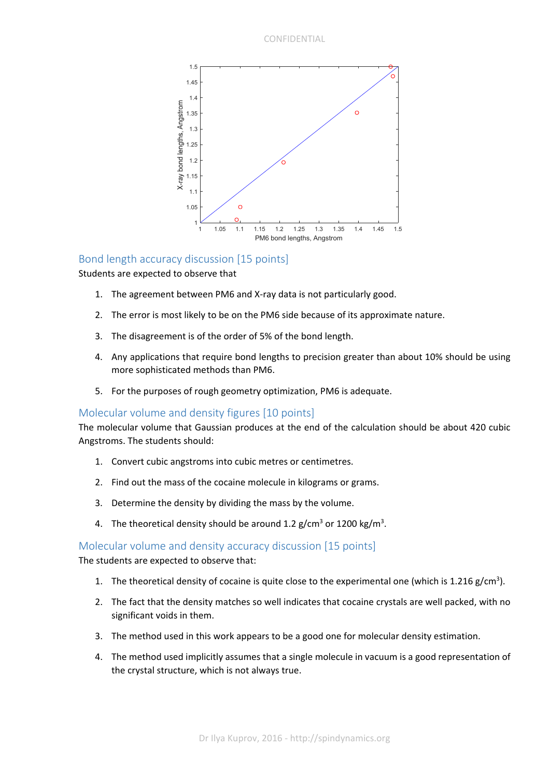#### CONFIDENTIAL



## Bond length accuracy discussion [15 points]

Students are expected to observe that

- 1. The agreement between PM6 and X-ray data is not particularly good.
- 2. The error is most likely to be on the PM6 side because of its approximate nature.
- 3. The disagreement is of the order of 5% of the bond length.
- 4. Any applications that require bond lengths to precision greater than about 10% should be using more sophisticated methods than PM6.
- 5. For the purposes of rough geometry optimization, PM6 is adequate.

### Molecular volume and density figures [10 points]

The molecular volume that Gaussian produces at the end of the calculation should be about 420 cubic Angstroms. The students should:

- 1. Convert cubic angstroms into cubic metres or centimetres.
- 2. Find out the mass of the cocaine molecule in kilograms or grams.
- 3. Determine the density by dividing the mass by the volume.
- 4. The theoretical density should be around 1.2 g/cm<sup>3</sup> or 1200 kg/m<sup>3</sup>.

#### Molecular volume and density accuracy discussion [15 points]

The students are expected to observe that:

- 1. The theoretical density of cocaine is quite close to the experimental one (which is 1.216  $g/cm<sup>3</sup>$ ).
- 2. The fact that the density matches so well indicates that cocaine crystals are well packed, with no significant voids in them.
- 3. The method used in this work appears to be a good one for molecular density estimation.
- 4. The method used implicitly assumes that a single molecule in vacuum is a good representation of the crystal structure, which is not always true.